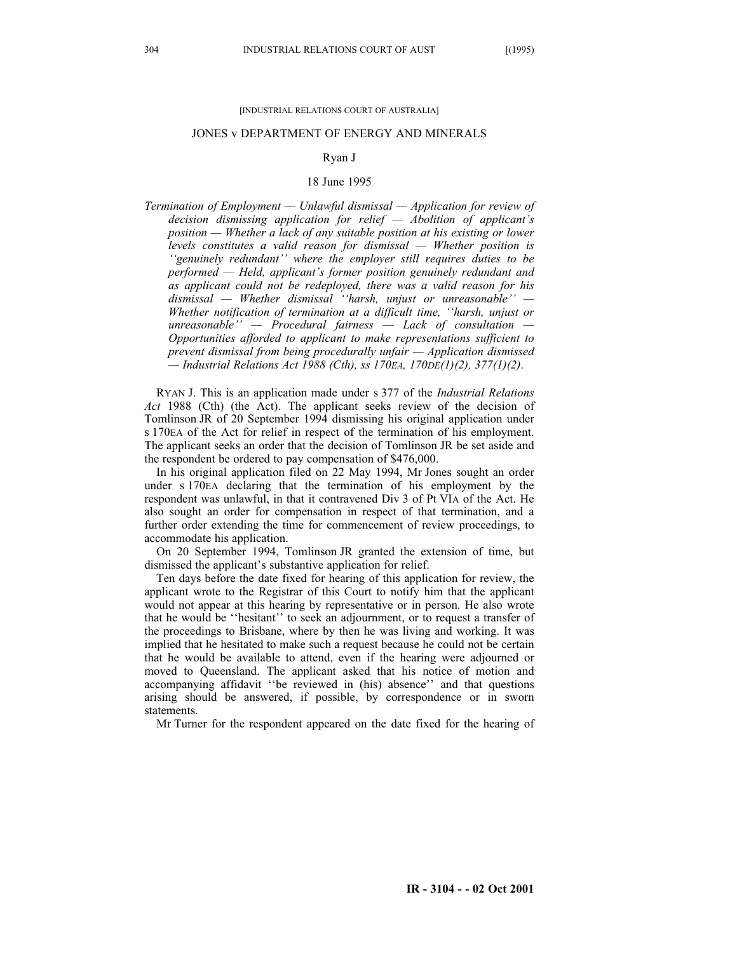#### [INDUSTRIAL RELATIONS COURT OF AUSTRALIA]

#### JONES v DEPARTMENT OF ENERGY AND MINERALS

### Ryan J

#### 18 June 1995

*Termination of Employment — Unlawful dismissal — Application for review of decision dismissing application for relief — Abolition of applicant's position — Whether a lack of any suitable position at his existing or lower levels constitutes a valid reason for dismissal — Whether position is ''genuinely redundant'' where the employer still requires duties to be performed — Held, applicant's former position genuinely redundant and as applicant could not be redeployed, there was a valid reason for his dismissal — Whether dismissal ''harsh, unjust or unreasonable'' — Whether notification of termination at a difficult time, ''harsh, unjust or unreasonable'' — Procedural fairness — Lack of consultation — Opportunities afforded to applicant to make representations sufficient to prevent dismissal from being procedurally unfair — Application dismissed — Industrial Relations Act 1988 (Cth), ss 170EA, 170DE(1)(2), 377(1)(2)*.

RYAN J. This is an application made under s 377 of the *Industrial Relations Act* 1988 (Cth) (the Act). The applicant seeks review of the decision of Tomlinson JR of 20 September 1994 dismissing his original application under s 170EA of the Act for relief in respect of the termination of his employment. The applicant seeks an order that the decision of Tomlinson JR be set aside and the respondent be ordered to pay compensation of \$476,000.

In his original application filed on 22 May 1994, Mr Jones sought an order under s 170EA declaring that the termination of his employment by the respondent was unlawful, in that it contravened Div 3 of Pt VIA of the Act. He also sought an order for compensation in respect of that termination, and a further order extending the time for commencement of review proceedings, to accommodate his application.

On 20 September 1994, Tomlinson JR granted the extension of time, but dismissed the applicant's substantive application for relief.

Ten days before the date fixed for hearing of this application for review, the applicant wrote to the Registrar of this Court to notify him that the applicant would not appear at this hearing by representative or in person. He also wrote that he would be ''hesitant'' to seek an adjournment, or to request a transfer of the proceedings to Brisbane, where by then he was living and working. It was implied that he hesitated to make such a request because he could not be certain that he would be available to attend, even if the hearing were adjourned or moved to Queensland. The applicant asked that his notice of motion and accompanying affidavit ''be reviewed in (his) absence'' and that questions arising should be answered, if possible, by correspondence or in sworn statements.

Mr Turner for the respondent appeared on the date fixed for the hearing of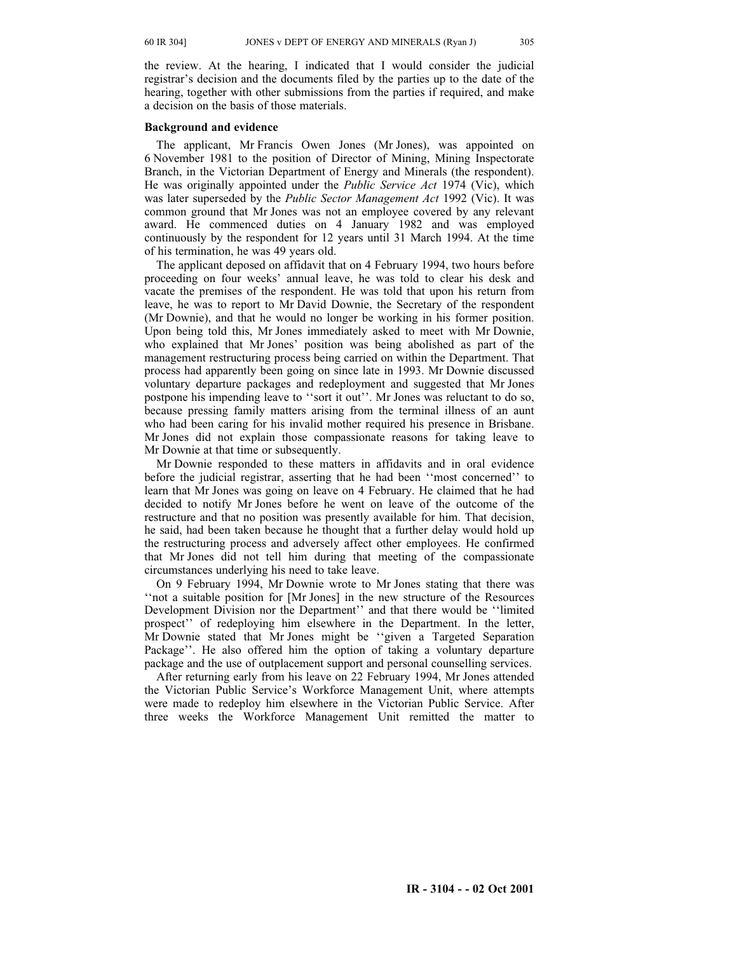the review. At the hearing, I indicated that I would consider the judicial registrar's decision and the documents filed by the parties up to the date of the hearing, together with other submissions from the parties if required, and make a decision on the basis of those materials.

## **Background and evidence**

The applicant, Mr Francis Owen Jones (Mr Jones), was appointed on 6 November 1981 to the position of Director of Mining, Mining Inspectorate Branch, in the Victorian Department of Energy and Minerals (the respondent). He was originally appointed under the *Public Service Act* 1974 (Vic), which was later superseded by the *Public Sector Management Act* 1992 (Vic). It was common ground that Mr Jones was not an employee covered by any relevant award. He commenced duties on 4 January 1982 and was employed continuously by the respondent for 12 years until 31 March 1994. At the time of his termination, he was 49 years old.

The applicant deposed on affidavit that on 4 February 1994, two hours before proceeding on four weeks' annual leave, he was told to clear his desk and vacate the premises of the respondent. He was told that upon his return from leave, he was to report to Mr David Downie, the Secretary of the respondent (Mr Downie), and that he would no longer be working in his former position. Upon being told this, Mr Jones immediately asked to meet with Mr Downie, who explained that Mr Jones' position was being abolished as part of the management restructuring process being carried on within the Department. That process had apparently been going on since late in 1993. Mr Downie discussed voluntary departure packages and redeployment and suggested that Mr Jones postpone his impending leave to ''sort it out''. Mr Jones was reluctant to do so, because pressing family matters arising from the terminal illness of an aunt who had been caring for his invalid mother required his presence in Brisbane. Mr Jones did not explain those compassionate reasons for taking leave to Mr Downie at that time or subsequently.

Mr Downie responded to these matters in affidavits and in oral evidence before the judicial registrar, asserting that he had been ''most concerned'' to learn that Mr Jones was going on leave on 4 February. He claimed that he had decided to notify Mr Jones before he went on leave of the outcome of the restructure and that no position was presently available for him. That decision, he said, had been taken because he thought that a further delay would hold up the restructuring process and adversely affect other employees. He confirmed that Mr Jones did not tell him during that meeting of the compassionate circumstances underlying his need to take leave.

On 9 February 1994, Mr Downie wrote to Mr Jones stating that there was ''not a suitable position for [Mr Jones] in the new structure of the Resources Development Division nor the Department'' and that there would be ''limited prospect'' of redeploying him elsewhere in the Department. In the letter, Mr Downie stated that Mr Jones might be ''given a Targeted Separation Package''. He also offered him the option of taking a voluntary departure package and the use of outplacement support and personal counselling services.

After returning early from his leave on 22 February 1994, Mr Jones attended the Victorian Public Service's Workforce Management Unit, where attempts were made to redeploy him elsewhere in the Victorian Public Service. After three weeks the Workforce Management Unit remitted the matter to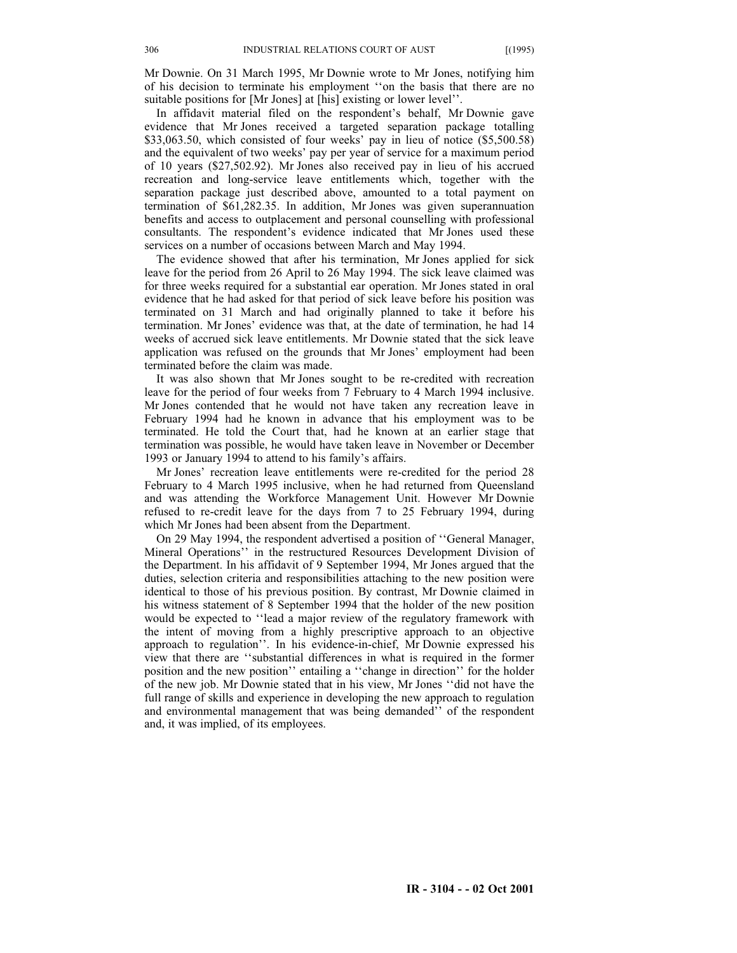Mr Downie. On 31 March 1995, Mr Downie wrote to Mr Jones, notifying him of his decision to terminate his employment ''on the basis that there are no suitable positions for [Mr Jones] at [his] existing or lower level''.

In affidavit material filed on the respondent's behalf, Mr Downie gave evidence that Mr Jones received a targeted separation package totalling \$33,063.50, which consisted of four weeks' pay in lieu of notice (\$5,500.58) and the equivalent of two weeks' pay per year of service for a maximum period of 10 years (\$27,502.92). Mr Jones also received pay in lieu of his accrued recreation and long-service leave entitlements which, together with the separation package just described above, amounted to a total payment on termination of \$61,282.35. In addition, Mr Jones was given superannuation benefits and access to outplacement and personal counselling with professional consultants. The respondent's evidence indicated that Mr Jones used these services on a number of occasions between March and May 1994.

The evidence showed that after his termination, Mr Jones applied for sick leave for the period from 26 April to 26 May 1994. The sick leave claimed was for three weeks required for a substantial ear operation. Mr Jones stated in oral evidence that he had asked for that period of sick leave before his position was terminated on 31 March and had originally planned to take it before his termination. Mr Jones' evidence was that, at the date of termination, he had 14 weeks of accrued sick leave entitlements. Mr Downie stated that the sick leave application was refused on the grounds that Mr Jones' employment had been terminated before the claim was made.

It was also shown that Mr Jones sought to be re-credited with recreation leave for the period of four weeks from 7 February to 4 March 1994 inclusive. Mr Jones contended that he would not have taken any recreation leave in February 1994 had he known in advance that his employment was to be terminated. He told the Court that, had he known at an earlier stage that termination was possible, he would have taken leave in November or December 1993 or January 1994 to attend to his family's affairs.

Mr Jones' recreation leave entitlements were re-credited for the period 28 February to 4 March 1995 inclusive, when he had returned from Queensland and was attending the Workforce Management Unit. However Mr Downie refused to re-credit leave for the days from 7 to 25 February 1994, during which Mr Jones had been absent from the Department.

On 29 May 1994, the respondent advertised a position of ''General Manager, Mineral Operations'' in the restructured Resources Development Division of the Department. In his affidavit of 9 September 1994, Mr Jones argued that the duties, selection criteria and responsibilities attaching to the new position were identical to those of his previous position. By contrast, Mr Downie claimed in his witness statement of 8 September 1994 that the holder of the new position would be expected to ''lead a major review of the regulatory framework with the intent of moving from a highly prescriptive approach to an objective approach to regulation''. In his evidence-in-chief, Mr Downie expressed his view that there are ''substantial differences in what is required in the former position and the new position'' entailing a ''change in direction'' for the holder of the new job. Mr Downie stated that in his view, Mr Jones ''did not have the full range of skills and experience in developing the new approach to regulation and environmental management that was being demanded'' of the respondent and, it was implied, of its employees.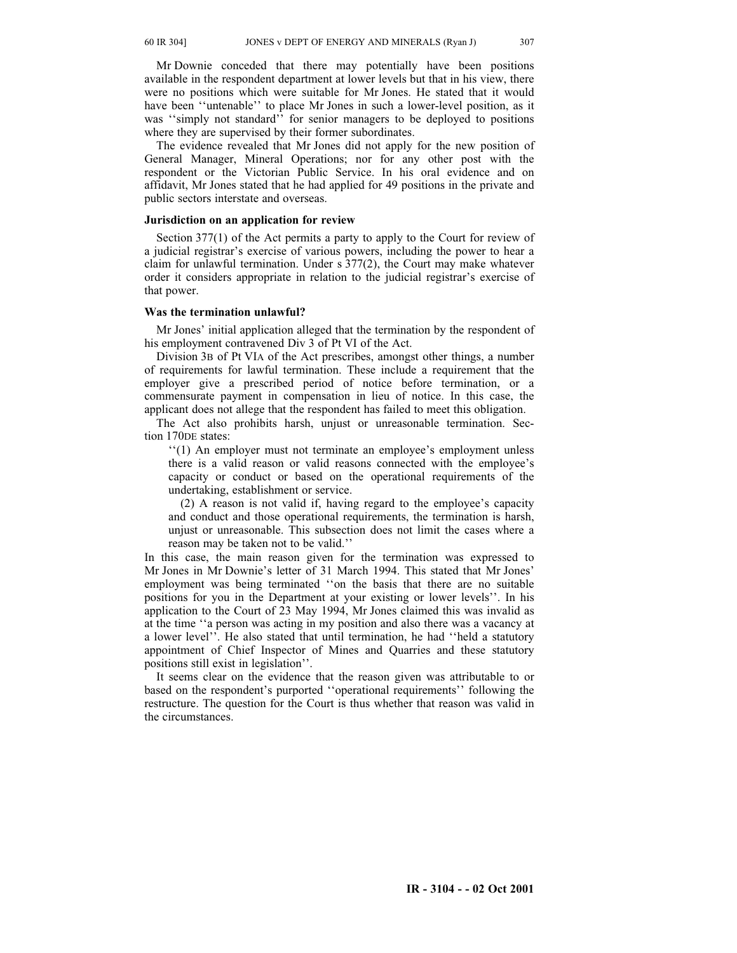Mr Downie conceded that there may potentially have been positions available in the respondent department at lower levels but that in his view, there were no positions which were suitable for Mr Jones. He stated that it would have been ''untenable'' to place Mr Jones in such a lower-level position, as it was "simply not standard" for senior managers to be deployed to positions where they are supervised by their former subordinates.

The evidence revealed that Mr Jones did not apply for the new position of General Manager, Mineral Operations; nor for any other post with the respondent or the Victorian Public Service. In his oral evidence and on affidavit, Mr Jones stated that he had applied for 49 positions in the private and public sectors interstate and overseas.

## **Jurisdiction on an application for review**

Section 377(1) of the Act permits a party to apply to the Court for review of a judicial registrar's exercise of various powers, including the power to hear a claim for unlawful termination. Under s 377(2), the Court may make whatever order it considers appropriate in relation to the judicial registrar's exercise of that power.

## **Was the termination unlawful?**

Mr Jones' initial application alleged that the termination by the respondent of his employment contravened Div 3 of Pt VI of the Act.

Division 3B of Pt VIA of the Act prescribes, amongst other things, a number of requirements for lawful termination. These include a requirement that the employer give a prescribed period of notice before termination, or a commensurate payment in compensation in lieu of notice. In this case, the applicant does not allege that the respondent has failed to meet this obligation.

The Act also prohibits harsh, unjust or unreasonable termination. Section 170DE states:

''(1) An employer must not terminate an employee's employment unless there is a valid reason or valid reasons connected with the employee's capacity or conduct or based on the operational requirements of the undertaking, establishment or service.

(2) A reason is not valid if, having regard to the employee's capacity and conduct and those operational requirements, the termination is harsh, unjust or unreasonable. This subsection does not limit the cases where a reason may be taken not to be valid.''

In this case, the main reason given for the termination was expressed to Mr Jones in Mr Downie's letter of 31 March 1994. This stated that Mr Jones' employment was being terminated ''on the basis that there are no suitable positions for you in the Department at your existing or lower levels''. In his application to the Court of 23 May 1994, Mr Jones claimed this was invalid as at the time ''a person was acting in my position and also there was a vacancy at a lower level''. He also stated that until termination, he had ''held a statutory appointment of Chief Inspector of Mines and Quarries and these statutory positions still exist in legislation''.

It seems clear on the evidence that the reason given was attributable to or based on the respondent's purported ''operational requirements'' following the restructure. The question for the Court is thus whether that reason was valid in the circumstances.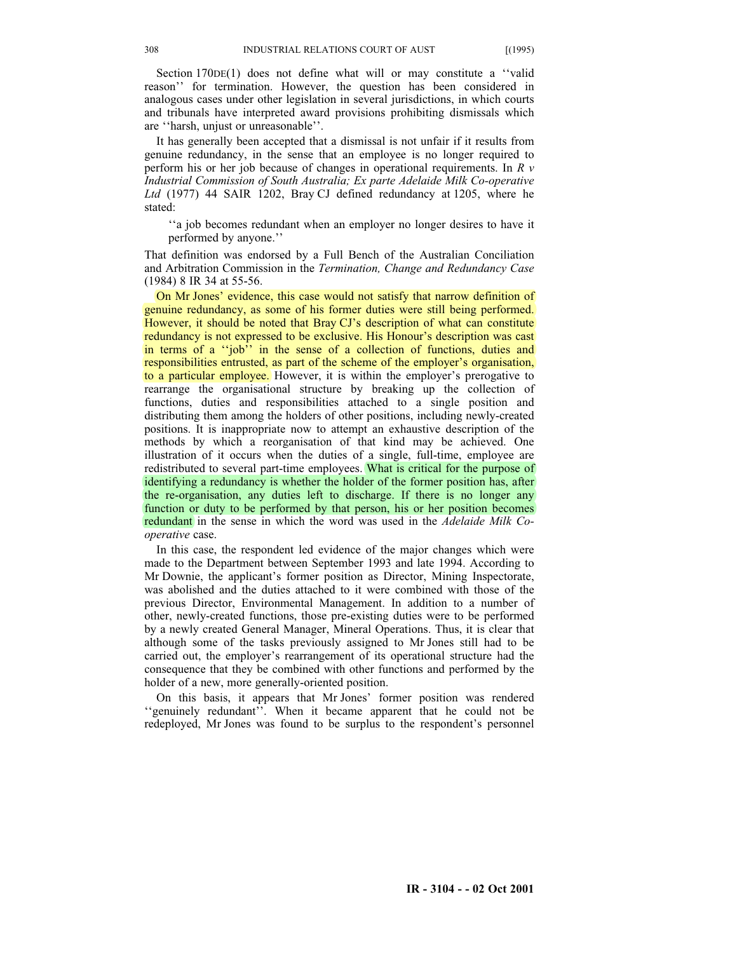Section  $170DE(1)$  does not define what will or may constitute a "valid" reason'' for termination. However, the question has been considered in analogous cases under other legislation in several jurisdictions, in which courts and tribunals have interpreted award provisions prohibiting dismissals which are ''harsh, unjust or unreasonable''.

It has generally been accepted that a dismissal is not unfair if it results from genuine redundancy, in the sense that an employee is no longer required to perform his or her job because of changes in operational requirements. In *R v Industrial Commission of South Australia; Ex parte Adelaide Milk Co-operative Ltd* (1977) 44 SAIR 1202, Bray CJ defined redundancy at 1205, where he stated:

''a job becomes redundant when an employer no longer desires to have it performed by anyone.''

That definition was endorsed by a Full Bench of the Australian Conciliation and Arbitration Commission in the *Termination, Change and Redundancy Case* (1984) 8 IR 34 at 55-56.

On Mr Jones' evidence, this case would not satisfy that narrow definition of genuine redundancy, as some of his former duties were still being performed. However, it should be noted that Bray CJ's description of what can constitute redundancy is not expressed to be exclusive. His Honour's description was cast in terms of a ''job'' in the sense of a collection of functions, duties and responsibilities entrusted, as part of the scheme of the employer's organisation, to a particular employee. However, it is within the employer's prerogative to rearrange the organisational structure by breaking up the collection of functions, duties and responsibilities attached to a single position and distributing them among the holders of other positions, including newly-created positions. It is inappropriate now to attempt an exhaustive description of the methods by which a reorganisation of that kind may be achieved. One illustration of it occurs when the duties of a single, full-time, employee are redistributed to several part-time employees. What is critical for the purpose of identifying a redundancy is whether the holder of the former position has, after the re-organisation, any duties left to discharge. If there is no longer any function or duty to be performed by that person, his or her position becomes redundant in the sense in which the word was used in the *Adelaide Milk Cooperative* case.

In this case, the respondent led evidence of the major changes which were made to the Department between September 1993 and late 1994. According to Mr Downie, the applicant's former position as Director, Mining Inspectorate, was abolished and the duties attached to it were combined with those of the previous Director, Environmental Management. In addition to a number of other, newly-created functions, those pre-existing duties were to be performed by a newly created General Manager, Mineral Operations. Thus, it is clear that although some of the tasks previously assigned to Mr Jones still had to be carried out, the employer's rearrangement of its operational structure had the consequence that they be combined with other functions and performed by the holder of a new, more generally-oriented position.

On this basis, it appears that Mr Jones' former position was rendered ''genuinely redundant''. When it became apparent that he could not be redeployed, Mr Jones was found to be surplus to the respondent's personnel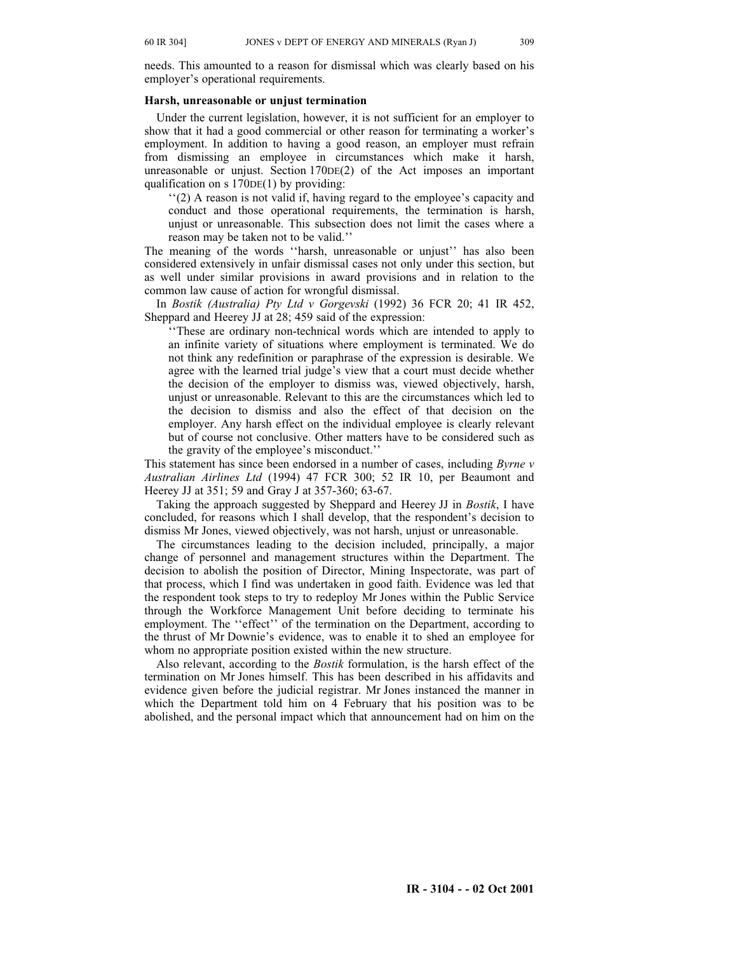needs. This amounted to a reason for dismissal which was clearly based on his employer's operational requirements.

# **Harsh, unreasonable or unjust termination**

Under the current legislation, however, it is not sufficient for an employer to show that it had a good commercial or other reason for terminating a worker's employment. In addition to having a good reason, an employer must refrain from dismissing an employee in circumstances which make it harsh, unreasonable or unjust. Section 170DE(2) of the Act imposes an important qualification on s  $170DE(1)$  by providing:

''(2) A reason is not valid if, having regard to the employee's capacity and conduct and those operational requirements, the termination is harsh, unjust or unreasonable. This subsection does not limit the cases where a reason may be taken not to be valid.''

The meaning of the words ''harsh, unreasonable or unjust'' has also been considered extensively in unfair dismissal cases not only under this section, but as well under similar provisions in award provisions and in relation to the common law cause of action for wrongful dismissal.

In *Bostik (Australia) Pty Ltd v Gorgevski* (1992) 36 FCR 20; 41 IR 452, Sheppard and Heerey JJ at 28; 459 said of the expression:

''These are ordinary non-technical words which are intended to apply to an infinite variety of situations where employment is terminated. We do not think any redefinition or paraphrase of the expression is desirable. We agree with the learned trial judge's view that a court must decide whether the decision of the employer to dismiss was, viewed objectively, harsh, unjust or unreasonable. Relevant to this are the circumstances which led to the decision to dismiss and also the effect of that decision on the employer. Any harsh effect on the individual employee is clearly relevant but of course not conclusive. Other matters have to be considered such as the gravity of the employee's misconduct.''

This statement has since been endorsed in a number of cases, including *Byrne v Australian Airlines Ltd* (1994) 47 FCR 300; 52 IR 10, per Beaumont and Heerey JJ at 351; 59 and Gray J at 357-360; 63-67.

Taking the approach suggested by Sheppard and Heerey JJ in *Bostik*, I have concluded, for reasons which I shall develop, that the respondent's decision to dismiss Mr Jones, viewed objectively, was not harsh, unjust or unreasonable.

The circumstances leading to the decision included, principally, a major change of personnel and management structures within the Department. The decision to abolish the position of Director, Mining Inspectorate, was part of that process, which I find was undertaken in good faith. Evidence was led that the respondent took steps to try to redeploy Mr Jones within the Public Service through the Workforce Management Unit before deciding to terminate his employment. The ''effect'' of the termination on the Department, according to the thrust of Mr Downie's evidence, was to enable it to shed an employee for whom no appropriate position existed within the new structure.

Also relevant, according to the *Bostik* formulation, is the harsh effect of the termination on Mr Jones himself. This has been described in his affidavits and evidence given before the judicial registrar. Mr Jones instanced the manner in which the Department told him on 4 February that his position was to be abolished, and the personal impact which that announcement had on him on the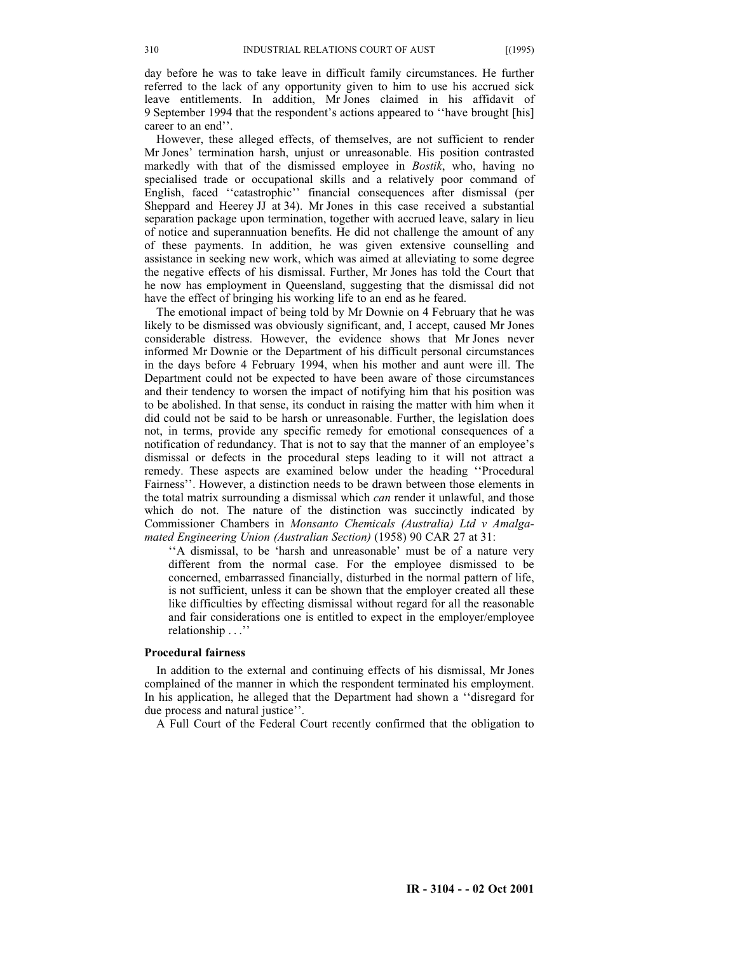day before he was to take leave in difficult family circumstances. He further referred to the lack of any opportunity given to him to use his accrued sick leave entitlements. In addition, Mr Jones claimed in his affidavit of 9 September 1994 that the respondent's actions appeared to ''have brought [his] career to an end''.

However, these alleged effects, of themselves, are not sufficient to render Mr Jones' termination harsh, unjust or unreasonable. His position contrasted markedly with that of the dismissed employee in *Bostik*, who, having no specialised trade or occupational skills and a relatively poor command of English, faced ''catastrophic'' financial consequences after dismissal (per Sheppard and Heerey JJ at 34). Mr Jones in this case received a substantial separation package upon termination, together with accrued leave, salary in lieu of notice and superannuation benefits. He did not challenge the amount of any of these payments. In addition, he was given extensive counselling and assistance in seeking new work, which was aimed at alleviating to some degree the negative effects of his dismissal. Further, Mr Jones has told the Court that he now has employment in Queensland, suggesting that the dismissal did not have the effect of bringing his working life to an end as he feared.

The emotional impact of being told by Mr Downie on 4 February that he was likely to be dismissed was obviously significant, and, I accept, caused Mr Jones considerable distress. However, the evidence shows that Mr Jones never informed Mr Downie or the Department of his difficult personal circumstances in the days before 4 February 1994, when his mother and aunt were ill. The Department could not be expected to have been aware of those circumstances and their tendency to worsen the impact of notifying him that his position was to be abolished. In that sense, its conduct in raising the matter with him when it did could not be said to be harsh or unreasonable. Further, the legislation does not, in terms, provide any specific remedy for emotional consequences of a notification of redundancy. That is not to say that the manner of an employee's dismissal or defects in the procedural steps leading to it will not attract a remedy. These aspects are examined below under the heading ''Procedural Fairness''. However, a distinction needs to be drawn between those elements in the total matrix surrounding a dismissal which *can* render it unlawful, and those which do not. The nature of the distinction was succinctly indicated by Commissioner Chambers in *Monsanto Chemicals (Australia) Ltd v Amalgamated Engineering Union (Australian Section)* (1958) 90 CAR 27 at 31:

''A dismissal, to be 'harsh and unreasonable' must be of a nature very different from the normal case. For the employee dismissed to be concerned, embarrassed financially, disturbed in the normal pattern of life, is not sufficient, unless it can be shown that the employer created all these like difficulties by effecting dismissal without regard for all the reasonable and fair considerations one is entitled to expect in the employer/employee relationship . . .''

## **Procedural fairness**

In addition to the external and continuing effects of his dismissal, Mr Jones complained of the manner in which the respondent terminated his employment. In his application, he alleged that the Department had shown a ''disregard for due process and natural justice''.

A Full Court of the Federal Court recently confirmed that the obligation to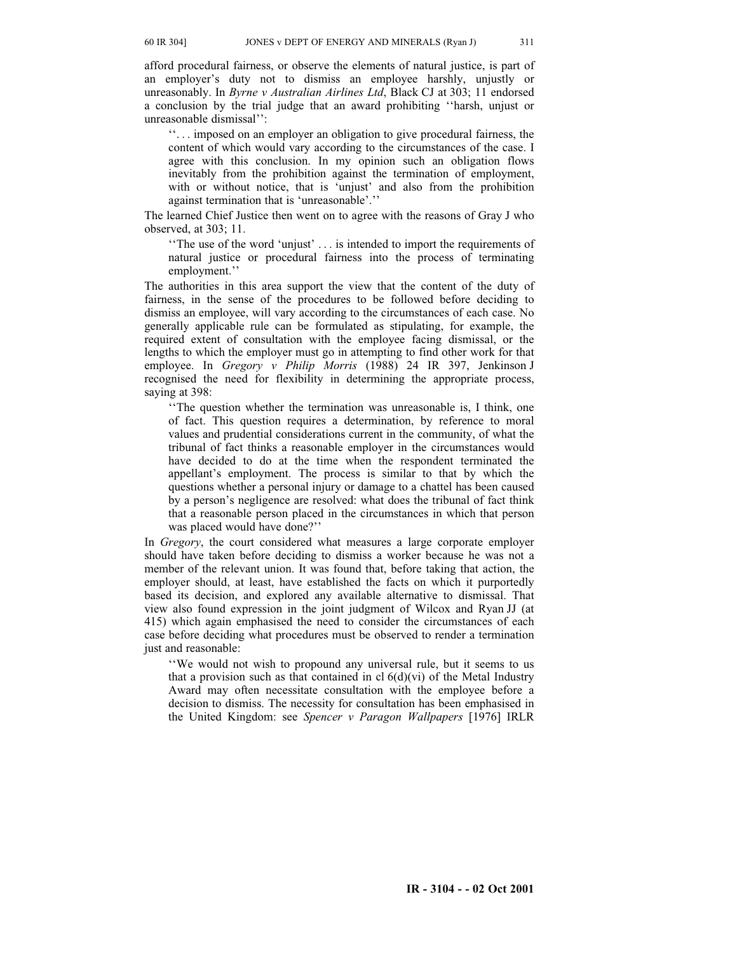afford procedural fairness, or observe the elements of natural justice, is part of an employer's duty not to dismiss an employee harshly, unjustly or unreasonably. In *Byrne v Australian Airlines Ltd*, Black CJ at 303; 11 endorsed a conclusion by the trial judge that an award prohibiting ''harsh, unjust or unreasonable dismissal'':

''. . . imposed on an employer an obligation to give procedural fairness, the content of which would vary according to the circumstances of the case. I agree with this conclusion. In my opinion such an obligation flows inevitably from the prohibition against the termination of employment, with or without notice, that is 'unjust' and also from the prohibition against termination that is 'unreasonable'.''

The learned Chief Justice then went on to agree with the reasons of Gray J who observed, at 303; 11.

''The use of the word 'unjust' . . . is intended to import the requirements of natural justice or procedural fairness into the process of terminating employment.''

The authorities in this area support the view that the content of the duty of fairness, in the sense of the procedures to be followed before deciding to dismiss an employee, will vary according to the circumstances of each case. No generally applicable rule can be formulated as stipulating, for example, the required extent of consultation with the employee facing dismissal, or the lengths to which the employer must go in attempting to find other work for that employee. In *Gregory v Philip Morris* (1988) 24 IR 397, Jenkinson J recognised the need for flexibility in determining the appropriate process, saying at 398:

''The question whether the termination was unreasonable is, I think, one of fact. This question requires a determination, by reference to moral values and prudential considerations current in the community, of what the tribunal of fact thinks a reasonable employer in the circumstances would have decided to do at the time when the respondent terminated the appellant's employment. The process is similar to that by which the questions whether a personal injury or damage to a chattel has been caused by a person's negligence are resolved: what does the tribunal of fact think that a reasonable person placed in the circumstances in which that person was placed would have done?''

In *Gregory*, the court considered what measures a large corporate employer should have taken before deciding to dismiss a worker because he was not a member of the relevant union. It was found that, before taking that action, the employer should, at least, have established the facts on which it purportedly based its decision, and explored any available alternative to dismissal. That view also found expression in the joint judgment of Wilcox and Ryan JJ (at 415) which again emphasised the need to consider the circumstances of each case before deciding what procedures must be observed to render a termination just and reasonable:

''We would not wish to propound any universal rule, but it seems to us that a provision such as that contained in cl  $6(d)(vi)$  of the Metal Industry Award may often necessitate consultation with the employee before a decision to dismiss. The necessity for consultation has been emphasised in the United Kingdom: see *Spencer v Paragon Wallpapers* [1976] IRLR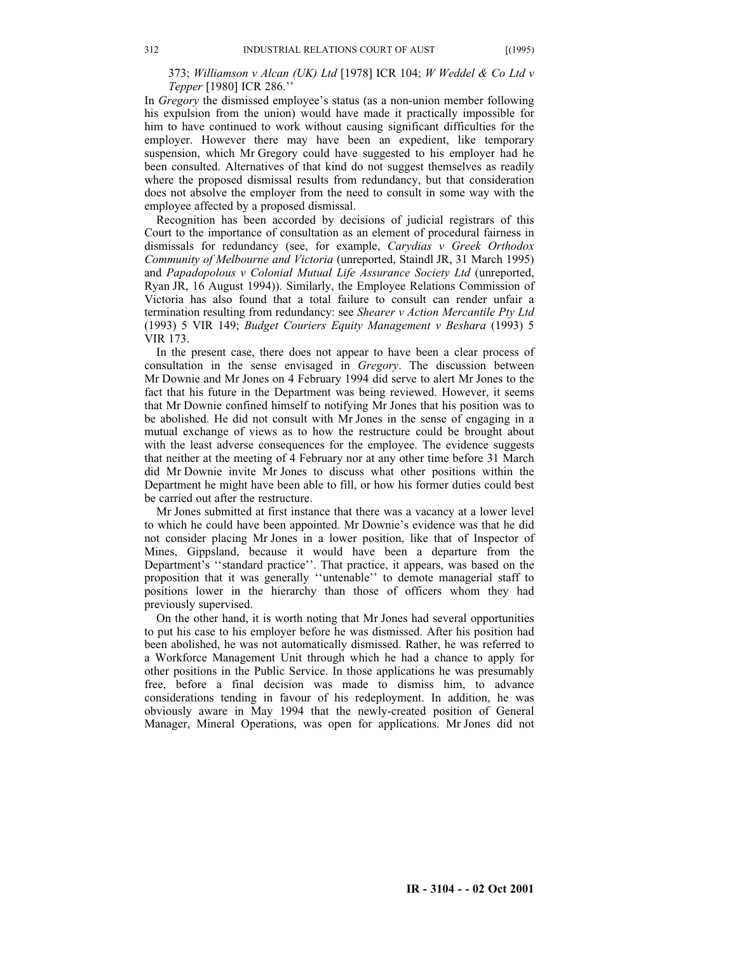# 373; *Williamson v Alcan (UK) Ltd* [1978] ICR 104; *W Weddel & Co Ltd v Tepper* [1980] ICR 286.''

In *Gregory* the dismissed employee's status (as a non-union member following his expulsion from the union) would have made it practically impossible for him to have continued to work without causing significant difficulties for the employer. However there may have been an expedient, like temporary suspension, which Mr Gregory could have suggested to his employer had he been consulted. Alternatives of that kind do not suggest themselves as readily where the proposed dismissal results from redundancy, but that consideration does not absolve the employer from the need to consult in some way with the employee affected by a proposed dismissal.

Recognition has been accorded by decisions of judicial registrars of this Court to the importance of consultation as an element of procedural fairness in dismissals for redundancy (see, for example, *Carydias v Greek Orthodox Community of Melbourne and Victoria* (unreported, Staindl JR, 31 March 1995) and *Papadopolous v Colonial Mutual Life Assurance Society Ltd* (unreported, Ryan JR, 16 August 1994)). Similarly, the Employee Relations Commission of Victoria has also found that a total failure to consult can render unfair a termination resulting from redundancy: see *Shearer v Action Mercantile Pty Ltd* (1993) 5 VIR 149; *Budget Couriers Equity Management v Beshara* (1993) 5 VIR 173.

In the present case, there does not appear to have been a clear process of consultation in the sense envisaged in *Gregory*. The discussion between Mr Downie and Mr Jones on 4 February 1994 did serve to alert Mr Jones to the fact that his future in the Department was being reviewed. However, it seems that Mr Downie confined himself to notifying Mr Jones that his position was to be abolished. He did not consult with Mr Jones in the sense of engaging in a mutual exchange of views as to how the restructure could be brought about with the least adverse consequences for the employee. The evidence suggests that neither at the meeting of 4 February nor at any other time before 31 March did Mr Downie invite Mr Jones to discuss what other positions within the Department he might have been able to fill, or how his former duties could best be carried out after the restructure.

Mr Jones submitted at first instance that there was a vacancy at a lower level to which he could have been appointed. Mr Downie's evidence was that he did not consider placing Mr Jones in a lower position, like that of Inspector of Mines, Gippsland, because it would have been a departure from the Department's ''standard practice''. That practice, it appears, was based on the proposition that it was generally ''untenable'' to demote managerial staff to positions lower in the hierarchy than those of officers whom they had previously supervised.

On the other hand, it is worth noting that Mr Jones had several opportunities to put his case to his employer before he was dismissed. After his position had been abolished, he was not automatically dismissed. Rather, he was referred to a Workforce Management Unit through which he had a chance to apply for other positions in the Public Service. In those applications he was presumably free, before a final decision was made to dismiss him, to advance considerations tending in favour of his redeployment. In addition, he was obviously aware in May 1994 that the newly-created position of General Manager, Mineral Operations, was open for applications. Mr Jones did not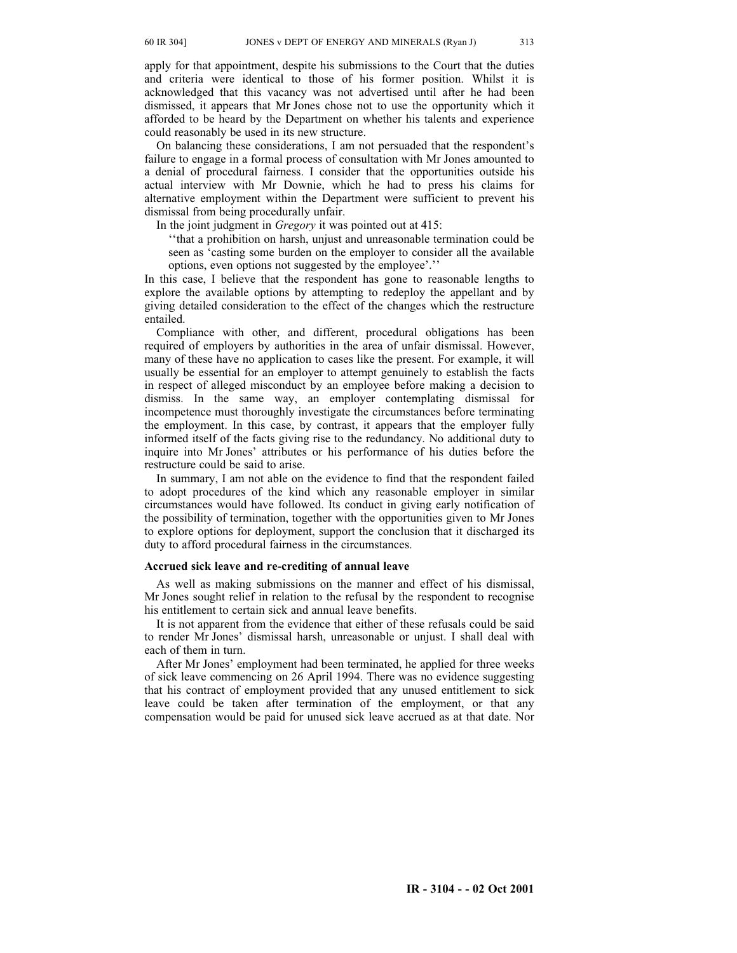apply for that appointment, despite his submissions to the Court that the duties and criteria were identical to those of his former position. Whilst it is acknowledged that this vacancy was not advertised until after he had been dismissed, it appears that Mr Jones chose not to use the opportunity which it afforded to be heard by the Department on whether his talents and experience could reasonably be used in its new structure.

On balancing these considerations, I am not persuaded that the respondent's failure to engage in a formal process of consultation with Mr Jones amounted to a denial of procedural fairness. I consider that the opportunities outside his actual interview with Mr Downie, which he had to press his claims for alternative employment within the Department were sufficient to prevent his dismissal from being procedurally unfair.

In the joint judgment in *Gregory* it was pointed out at 415:

''that a prohibition on harsh, unjust and unreasonable termination could be seen as 'casting some burden on the employer to consider all the available options, even options not suggested by the employee'.''

In this case, I believe that the respondent has gone to reasonable lengths to explore the available options by attempting to redeploy the appellant and by giving detailed consideration to the effect of the changes which the restructure entailed.

Compliance with other, and different, procedural obligations has been required of employers by authorities in the area of unfair dismissal. However, many of these have no application to cases like the present. For example, it will usually be essential for an employer to attempt genuinely to establish the facts in respect of alleged misconduct by an employee before making a decision to dismiss. In the same way, an employer contemplating dismissal incompetence must thoroughly investigate the circumstances before terminating the employment. In this case, by contrast, it appears that the employer fully informed itself of the facts giving rise to the redundancy. No additional duty to inquire into Mr Jones' attributes or his performance of his duties before the restructure could be said to arise.

In summary, I am not able on the evidence to find that the respondent failed to adopt procedures of the kind which any reasonable employer in similar circumstances would have followed. Its conduct in giving early notification of the possibility of termination, together with the opportunities given to Mr Jones to explore options for deployment, support the conclusion that it discharged its duty to afford procedural fairness in the circumstances.

# **Accrued sick leave and re-crediting of annual leave**

As well as making submissions on the manner and effect of his dismissal, Mr Jones sought relief in relation to the refusal by the respondent to recognise his entitlement to certain sick and annual leave benefits.

It is not apparent from the evidence that either of these refusals could be said to render Mr Jones' dismissal harsh, unreasonable or unjust. I shall deal with each of them in turn.

After Mr Jones' employment had been terminated, he applied for three weeks of sick leave commencing on 26 April 1994. There was no evidence suggesting that his contract of employment provided that any unused entitlement to sick leave could be taken after termination of the employment, or that any compensation would be paid for unused sick leave accrued as at that date. Nor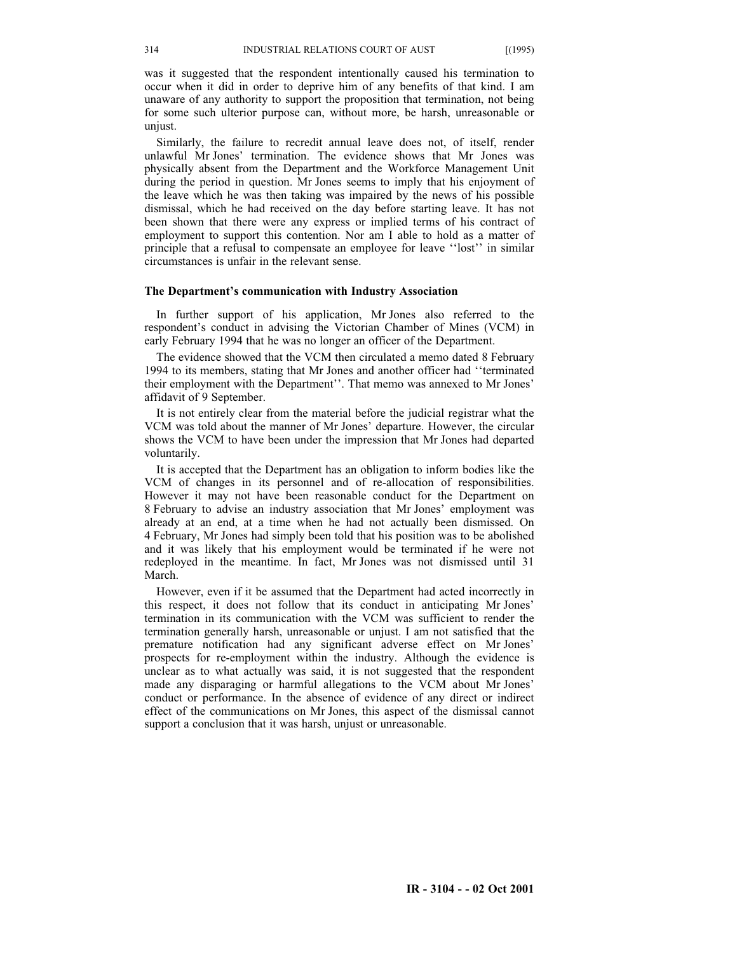was it suggested that the respondent intentionally caused his termination to occur when it did in order to deprive him of any benefits of that kind. I am unaware of any authority to support the proposition that termination, not being for some such ulterior purpose can, without more, be harsh, unreasonable or unjust.

Similarly, the failure to recredit annual leave does not, of itself, render unlawful Mr Jones' termination. The evidence shows that Mr Jones was physically absent from the Department and the Workforce Management Unit during the period in question. Mr Jones seems to imply that his enjoyment of the leave which he was then taking was impaired by the news of his possible dismissal, which he had received on the day before starting leave. It has not been shown that there were any express or implied terms of his contract of employment to support this contention. Nor am I able to hold as a matter of principle that a refusal to compensate an employee for leave ''lost'' in similar circumstances is unfair in the relevant sense.

### **The Department's communication with Industry Association**

In further support of his application, Mr Jones also referred to the respondent's conduct in advising the Victorian Chamber of Mines (VCM) in early February 1994 that he was no longer an officer of the Department.

The evidence showed that the VCM then circulated a memo dated 8 February 1994 to its members, stating that Mr Jones and another officer had ''terminated their employment with the Department''. That memo was annexed to Mr Jones' affidavit of 9 September.

It is not entirely clear from the material before the judicial registrar what the VCM was told about the manner of Mr Jones' departure. However, the circular shows the VCM to have been under the impression that Mr Jones had departed voluntarily.

It is accepted that the Department has an obligation to inform bodies like the VCM of changes in its personnel and of re-allocation of responsibilities. However it may not have been reasonable conduct for the Department on 8 February to advise an industry association that Mr Jones' employment was already at an end, at a time when he had not actually been dismissed. On 4 February, Mr Jones had simply been told that his position was to be abolished and it was likely that his employment would be terminated if he were not redeployed in the meantime. In fact, Mr Jones was not dismissed until 31 March.

However, even if it be assumed that the Department had acted incorrectly in this respect, it does not follow that its conduct in anticipating Mr Jones' termination in its communication with the VCM was sufficient to render the termination generally harsh, unreasonable or unjust. I am not satisfied that the premature notification had any significant adverse effect on Mr Jones' prospects for re-employment within the industry. Although the evidence is unclear as to what actually was said, it is not suggested that the respondent made any disparaging or harmful allegations to the VCM about Mr Jones' conduct or performance. In the absence of evidence of any direct or indirect effect of the communications on Mr Jones, this aspect of the dismissal cannot support a conclusion that it was harsh, unjust or unreasonable.